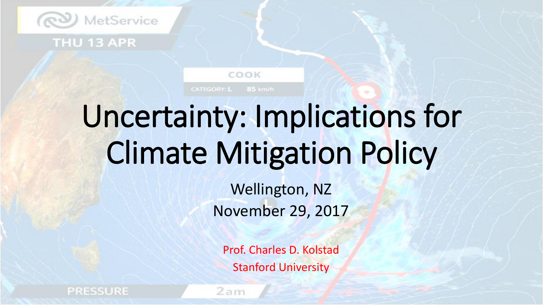

#### THU 13 APR

# Uncertainty: Implications for Climate Mitigation Policy

COOK

CATEGORY: L 85 km/h

Wellington, NZ November 29, 2017

Prof. Charles D. Kolstad Stanford University

**PRESSURE** 

2 am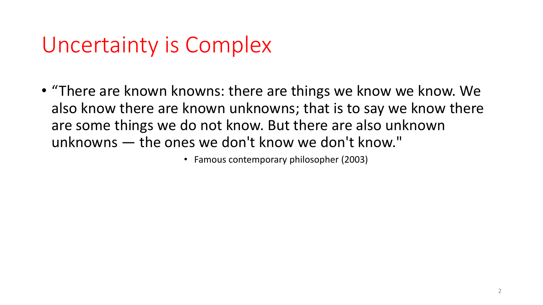### Uncertainty is Complex

• "There are known knowns: there are things we know we know. We also know there are known unknowns; that is to say we know there are some things we do not know. But there are also unknown unknowns — the ones we don't know we don't know."

• Famous contemporary philosopher (2003)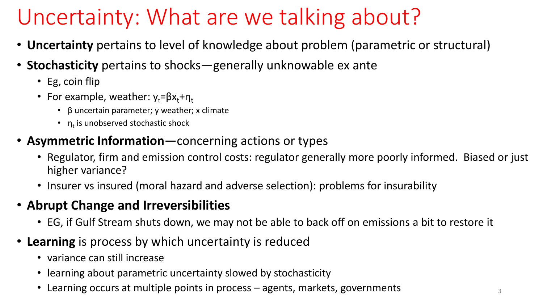### Uncertainty: What are we talking about?

- **Uncertainty** pertains to level of knowledge about problem (parametric or structural)
- **Stochasticity** pertains to shocks—generally unknowable ex ante
	- Eg, coin flip
	- For example, weather:  $y_t = \beta x_t + \eta_t$ 
		- β uncertain parameter; y weather; x climate
		- $n_t$  is unobserved stochastic shock
- **Asymmetric Information**—concerning actions or types
	- Regulator, firm and emission control costs: regulator generally more poorly informed. Biased or just higher variance?
	- Insurer vs insured (moral hazard and adverse selection): problems for insurability

### • **Abrupt Change and Irreversibilities**

- EG, if Gulf Stream shuts down, we may not be able to back off on emissions a bit to restore it
- **Learning** is process by which uncertainty is reduced
	- variance can still increase
	- learning about parametric uncertainty slowed by stochasticity
	- Learning occurs at multiple points in process  $-$  agents, markets, governments  $\frac{3}{3}$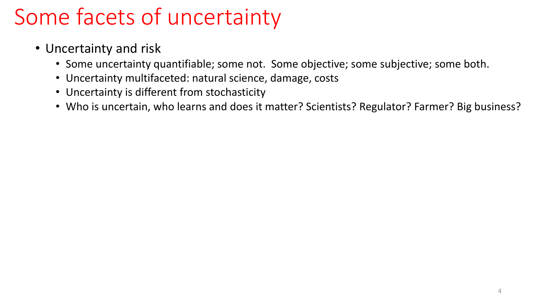- Uncertainty and risk
	- Some uncertainty quantifiable; some not. Some objective; some subjective; some both.
	- Uncertainty multifaceted: natural science, damage, costs
	- Uncertainty is different from stochasticity
	- Who is uncertain, who learns and does it matter? Scientists? Regulator? Farmer? Big business?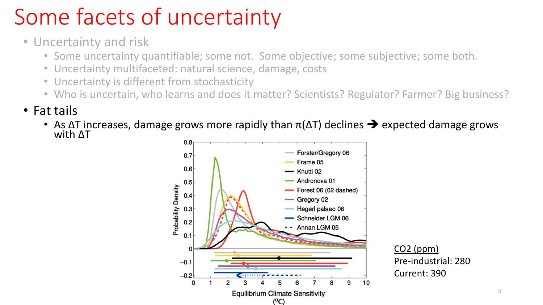- Uncertainty and risk
	- Some uncertainty quantifiable; some not. Some objective; some subjective; some both.
	- Uncertainty multifaceted: natural science, damage, costs
	- Uncertainty is different from stochasticity
	- Who is uncertain, who learns and does it matter? Scientists? Regulator? Farmer? Big business?
- Fat tails
	- As  $\Delta T$  increases, damage grows more rapidly than  $\pi(\Delta T)$  declines  $\rightarrow$  expected damage grows with ΔT

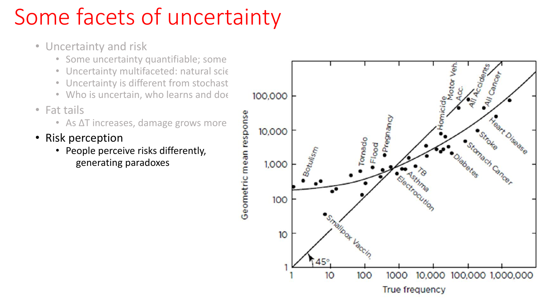- Uncertainty and risk
	- Some uncertainty quantifiable; some
	- Uncertainty multifaceted: natural scie
	- Uncertainty is different from stochast
	-
- Fat tails
	-
- Risk perception
	- People perceive risks differently, generating paradoxes

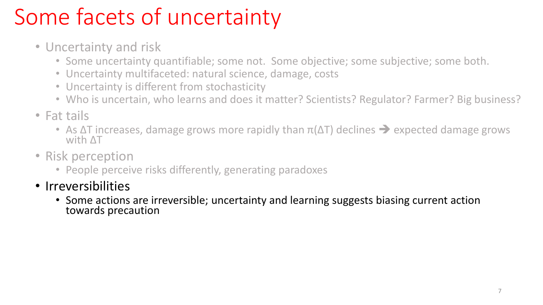- Uncertainty and risk
	- Some uncertainty quantifiable; some not. Some objective; some subjective; some both.
	- Uncertainty multifaceted: natural science, damage, costs
	- Uncertainty is different from stochasticity
	- Who is uncertain, who learns and does it matter? Scientists? Regulator? Farmer? Big business?
- Fat tails
	- As  $\Delta T$  increases, damage grows more rapidly than  $\pi(\Delta T)$  declines  $\rightarrow$  expected damage grows with ΔT
- Risk perception
	- People perceive risks differently, generating paradoxes
- Irreversibilities
	- Some actions are irreversible; uncertainty and learning suggests biasing current action towards precaution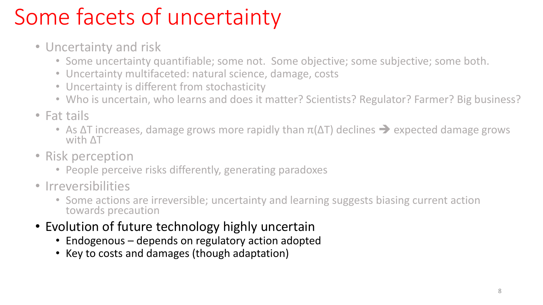- Uncertainty and risk
	- Some uncertainty quantifiable; some not. Some objective; some subjective; some both.
	- Uncertainty multifaceted: natural science, damage, costs
	- Uncertainty is different from stochasticity
	- Who is uncertain, who learns and does it matter? Scientists? Regulator? Farmer? Big business?
- Fat tails
	- As  $\Delta T$  increases, damage grows more rapidly than  $\pi(\Delta T)$  declines  $\rightarrow$  expected damage grows with ΔT
- Risk perception
	- People perceive risks differently, generating paradoxes
- Irreversibilities
	- Some actions are irreversible; uncertainty and learning suggests biasing current action towards precaution
- Evolution of future technology highly uncertain
	- Endogenous depends on regulatory action adopted
	- Key to costs and damages (though adaptation)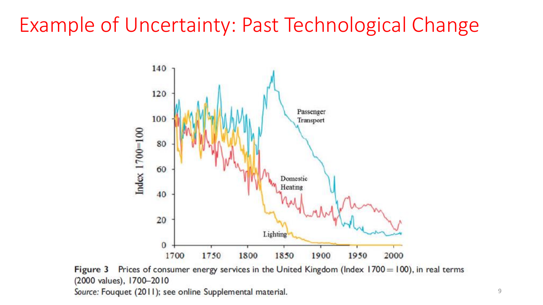### Example of Uncertainty: Past Technological Change



Figure 3 Prices of consumer energy services in the United Kingdom (Index  $1700 = 100$ ), in real terms (2000 values), 1700-2010 Source: Fouquet (2011); see online Supplemental material.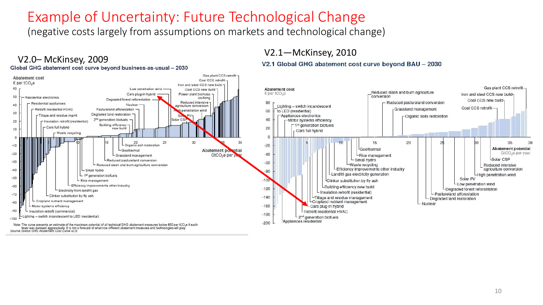#### Example of Uncertainty: Future Technological Change

(negative costs largely from assumptions on markets and technological change)

#### V2.0– McKinsey, 2009 Gas plant CCS retrofit -**Abatement cost** Coal CCS retrofit € per tCO<sub>2</sub>e Iron and steel CCS new build -Gas plant CCS retrofit. 60 Low penetration wind -Coal CCS new build 7 **Abatement cost** Reduced slash and burn agriculture Cars plug-in hybrid Power plant biomass - $\epsilon$  per tCO<sub>2</sub>e Iron and steel CCS new buildconversion 50 Residential electronics co-firing Degraded forest reforestation -Coal CCS new build-Reduced intensive -80 Reduced pastureland conversion - Residential appliances Nuclear 40 Lighting - switch incandescent priculture conversion Coal CCS retrofit-Retrofit residential HVAC Grassland management Pastureland afforestation penetration wind 60 to LED (residential) 30 Degraded land restoration -Tillage and residue mgmt Appliances electronics -Organic soils restoration 40 2<sup>nd</sup> generation biofuels Solar CS Motor systems efficiency 20 - Insulation retrofit (residential) Building efficiency-□ 1<sup>st</sup> generation biofuels - Cars full hybrid  $20$ new build 10 Cars full hybrid Waste recycling  $\mathbf{0}$ o 20<br>Organic soil restoration 30 25 5  $10$ 15 20  $\overline{2}$ 35  $-10$  $-20$ **Abatement potential** Geothermal - Geothermal Abatement powntial GtCO<sub>2</sub>e per year  $-20$  $-40$ GtCO<sub>2</sub>e per y Grassland management -Rice management Small hydro Solar CSP -Reduced pastureland conversion  $-30$  $-60$ Reduced slash and burn agriculture conversion -Waste recycling Reduced intensive LEfficiency improvements other industry agriculture conversion  $-40$ - Small hydro  $-80$ L Landfill gas electricity generation - 1<sup>st</sup> generation biofuels -High penetration wind  $-50$ Solar PV  $-100$ - Rice management Clinker substitution by fly ash Low penetration wind Efficiency improvements other industry  $-60$ LBuilding efficiency new build  $-120$ Degraded forest reforestation Electricity from landfill gas - Insulation retrofit (residential)  $-70$ - Pastureland afforestation Clinker substitution by fly ash  $-140$ -Tillage and residue management Degraded land restoration - Cropland nutrient management  $-80$ -Cropland nutrient management Nuclear - Motor systems efficiency  $-160$ - Cars plug-in hybrid  $-90$ Insulation retrofit (commercial) Retrofit residential HVAC  $-180$ ighting - switch incandescent to LED (residential) 2<sup>nd</sup> generation biofuels  $-100$ Appliances residential  $-200$ Note: The curve presents an estimate of the maximum potential of all technical GHG abatement measures below €60 per tCO<sub>2</sub>e if each lever was pursued aggressively. It is not a forecast of what role different abatement measures and technologies will play.<br>Source: Global GHG Abatement Cost Curve v2.0

V2.1—McKinsey, 2010

V2.1 Global GHG abatement cost curve beyond BAU - 2030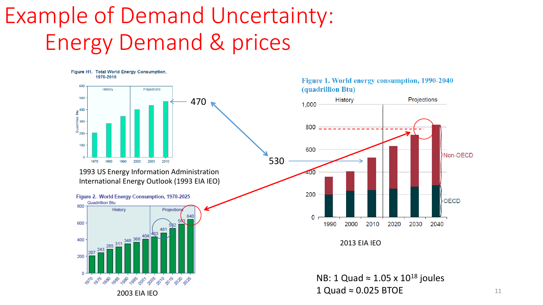### Example of Demand Uncertainty: Energy Demand & prices







<sup>2013</sup> EIA IEO

NB: 1 Quad ≈ 1.05 x  $10^{18}$  joules  $1$  Quad  $\approx 0.025$  BTOE 11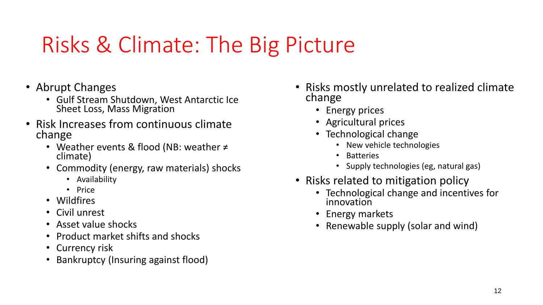### Risks & Climate: The Big Picture

- Abrupt Changes
	- Gulf Stream Shutdown, West Antarctic Ice Sheet Loss, Mass Migration
- Risk Increases from continuous climate change
	- Weather events & flood (NB: weather ≠ climate)
	- Commodity (energy, raw materials) shocks
		- Availability
		- Price
	- Wildfires
	- Civil unrest
	- Asset value shocks
	- Product market shifts and shocks
	- Currency risk
	- Bankruptcy (Insuring against flood)
- Risks mostly unrelated to realized climate change
	- Energy prices
	- Agricultural prices
	- Technological change
		- New vehicle technologies
		- **Batteries**
		- Supply technologies (eg, natural gas)
- Risks related to mitigation policy
	- Technological change and incentives for innovation
	- Energy markets
	- Renewable supply (solar and wind)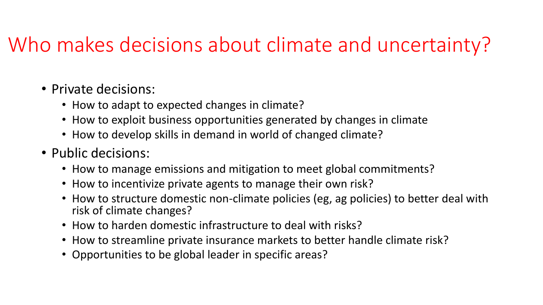### Who makes decisions about climate and uncertainty?

- Private decisions:
	- How to adapt to expected changes in climate?
	- How to exploit business opportunities generated by changes in climate
	- How to develop skills in demand in world of changed climate?
- Public decisions:
	- How to manage emissions and mitigation to meet global commitments?
	- How to incentivize private agents to manage their own risk?
	- How to structure domestic non-climate policies (eg, ag policies) to better deal with risk of climate changes?
	- How to harden domestic infrastructure to deal with risks?
	- How to streamline private insurance markets to better handle climate risk?
	- Opportunities to be global leader in specific areas?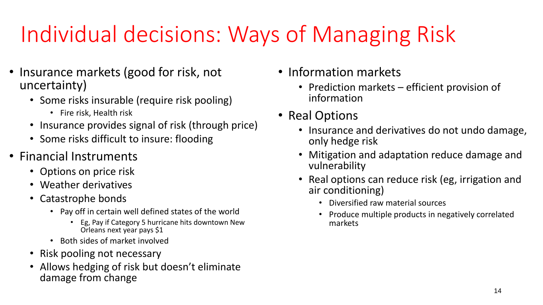## Individual decisions: Ways of Managing Risk

- Insurance markets (good for risk, not uncertainty)
	- Some risks insurable (require risk pooling)
		- Fire risk, Health risk
	- Insurance provides signal of risk (through price)
	- Some risks difficult to insure: flooding
- Financial Instruments
	- Options on price risk
	- Weather derivatives
	- Catastrophe bonds
		- Pay off in certain well defined states of the world
			- Eg, Pay if Category 5 hurricane hits downtown New Orleans next year pays \$1
		- Both sides of market involved
	- Risk pooling not necessary
	- Allows hedging of risk but doesn't eliminate damage from change
- Information markets
	- Prediction markets efficient provision of information
- Real Options
	- Insurance and derivatives do not undo damage, only hedge risk
	- Mitigation and adaptation reduce damage and vulnerability
	- Real options can reduce risk (eg, irrigation and air conditioning)
		- Diversified raw material sources
		- Produce multiple products in negatively correlated markets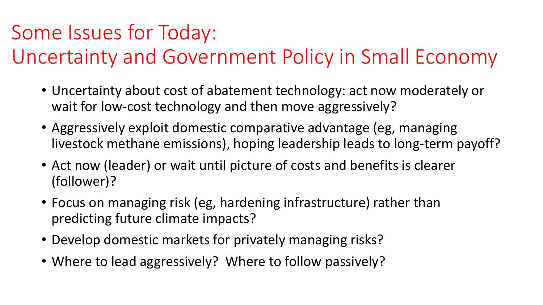### Some Issues for Today:

### Uncertainty and Government Policy in Small Economy

- Uncertainty about cost of abatement technology: act now moderately or wait for low-cost technology and then move aggressively?
- Aggressively exploit domestic comparative advantage (eg, managing livestock methane emissions), hoping leadership leads to long-term payoff?
- Act now (leader) or wait until picture of costs and benefits is clearer (follower)?
- Focus on managing risk (eg, hardening infrastructure) rather than predicting future climate impacts?
- Develop domestic markets for privately managing risks?
- Where to lead aggressively? Where to follow passively?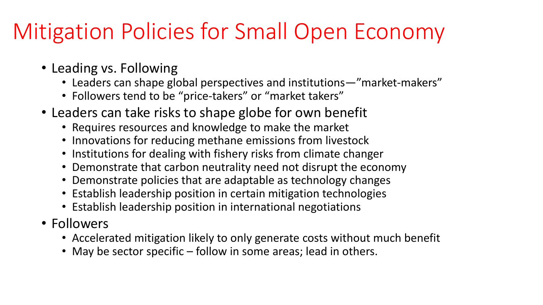### Mitigation Policies for Small Open Economy

- Leading vs. Following
	- Leaders can shape global perspectives and institutions—"market-makers"
	- Followers tend to be "price-takers" or "market takers"
- Leaders can take risks to shape globe for own benefit
	- Requires resources and knowledge to make the market
	- Innovations for reducing methane emissions from livestock
	- Institutions for dealing with fishery risks from climate changer
	- Demonstrate that carbon neutrality need not disrupt the economy
	- Demonstrate policies that are adaptable as technology changes
	- Establish leadership position in certain mitigation technologies
	- Establish leadership position in international negotiations
- Followers
	- Accelerated mitigation likely to only generate costs without much benefit
	- May be sector specific follow in some areas; lead in others.